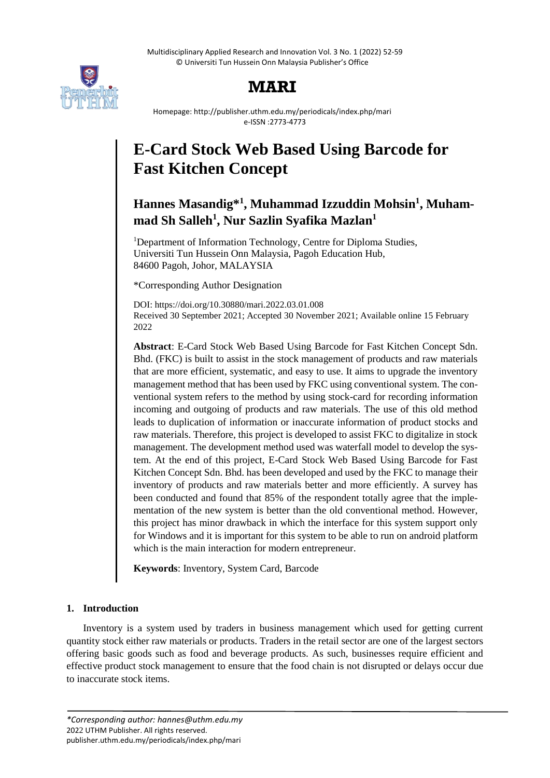Multidisciplinary Applied Research and Innovation Vol. 3 No. 1 (2022) 52-59 © Universiti Tun Hussein Onn Malaysia Publisher's Office



# **MARI**

Homepage: http://publisher.uthm.edu.my/periodicals/index.php/mari e-ISSN :2773-4773

# **E-Card Stock Web Based Using Barcode for Fast Kitchen Concept**

# **Hannes Masandig\*<sup>1</sup> , Muhammad Izzuddin Mohsin<sup>1</sup> , Muhammad Sh Salleh<sup>1</sup> , Nur Sazlin Syafika Mazlan<sup>1</sup>**

<sup>1</sup>Department of Information Technology, Centre for Diploma Studies, Universiti Tun Hussein Onn Malaysia, Pagoh Education Hub, 84600 Pagoh, Johor, MALAYSIA

\*Corresponding Author Designation

DOI: https://doi.org/10.30880/mari.2022.03.01.008 Received 30 September 2021; Accepted 30 November 2021; Available online 15 February 2022

**Abstract**: E-Card Stock Web Based Using Barcode for Fast Kitchen Concept Sdn. Bhd. (FKC) is built to assist in the stock management of products and raw materials that are more efficient, systematic, and easy to use. It aims to upgrade the inventory management method that has been used by FKC using conventional system. The conventional system refers to the method by using stock-card for recording information incoming and outgoing of products and raw materials. The use of this old method leads to duplication of information or inaccurate information of product stocks and raw materials. Therefore, this project is developed to assist FKC to digitalize in stock management. The development method used was waterfall model to develop the system. At the end of this project, E-Card Stock Web Based Using Barcode for Fast Kitchen Concept Sdn. Bhd. has been developed and used by the FKC to manage their inventory of products and raw materials better and more efficiently. A survey has been conducted and found that 85% of the respondent totally agree that the implementation of the new system is better than the old conventional method. However, this project has minor drawback in which the interface for this system support only for Windows and it is important for this system to be able to run on android platform which is the main interaction for modern entrepreneur.

**Keywords**: Inventory, System Card, Barcode

# **1. Introduction**

Inventory is a system used by traders in business management which used for getting current quantity stock either raw materials or products. Traders in the retail sector are one of the largest sectors offering basic goods such as food and beverage products. As such, businesses require efficient and effective product stock management to ensure that the food chain is not disrupted or delays occur due to inaccurate stock items.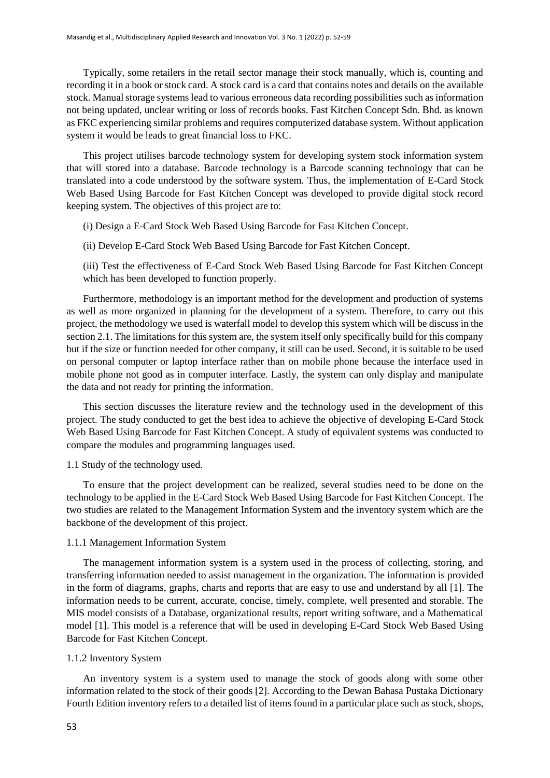Typically, some retailers in the retail sector manage their stock manually, which is, counting and recording it in a book or stock card. A stock card is a card that contains notes and details on the available stock. Manual storage systems lead to various erroneous data recording possibilities such as information not being updated, unclear writing or loss of records books. Fast Kitchen Concept Sdn. Bhd. as known as FKC experiencing similar problems and requires computerized database system. Without application system it would be leads to great financial loss to FKC.

This project utilises barcode technology system for developing system stock information system that will stored into a database. Barcode technology is a Barcode scanning technology that can be translated into a code understood by the software system. Thus, the implementation of E-Card Stock Web Based Using Barcode for Fast Kitchen Concept was developed to provide digital stock record keeping system. The objectives of this project are to:

(i) Design a E-Card Stock Web Based Using Barcode for Fast Kitchen Concept.

(ii) Develop E-Card Stock Web Based Using Barcode for Fast Kitchen Concept.

(iii) Test the effectiveness of E-Card Stock Web Based Using Barcode for Fast Kitchen Concept which has been developed to function properly.

Furthermore, methodology is an important method for the development and production of systems as well as more organized in planning for the development of a system. Therefore, to carry out this project, the methodology we used is waterfall model to develop this system which will be discuss in the section 2.1. The limitations for this system are, the system itself only specifically build for this company but if the size or function needed for other company, it still can be used. Second, it is suitable to be used on personal computer or laptop interface rather than on mobile phone because the interface used in mobile phone not good as in computer interface. Lastly, the system can only display and manipulate the data and not ready for printing the information.

This section discusses the literature review and the technology used in the development of this project. The study conducted to get the best idea to achieve the objective of developing E-Card Stock Web Based Using Barcode for Fast Kitchen Concept. A study of equivalent systems was conducted to compare the modules and programming languages used.

#### 1.1 Study of the technology used.

To ensure that the project development can be realized, several studies need to be done on the technology to be applied in the E-Card Stock Web Based Using Barcode for Fast Kitchen Concept. The two studies are related to the Management Information System and the inventory system which are the backbone of the development of this project.

# 1.1.1 Management Information System

The management information system is a system used in the process of collecting, storing, and transferring information needed to assist management in the organization. The information is provided in the form of diagrams, graphs, charts and reports that are easy to use and understand by all [1]. The information needs to be current, accurate, concise, timely, complete, well presented and storable. The MIS model consists of a Database, organizational results, report writing software, and a Mathematical model [1]. This model is a reference that will be used in developing E-Card Stock Web Based Using Barcode for Fast Kitchen Concept.

#### 1.1.2 Inventory System

An inventory system is a system used to manage the stock of goods along with some other information related to the stock of their goods [2]. According to the Dewan Bahasa Pustaka Dictionary Fourth Edition inventory refers to a detailed list of items found in a particular place such as stock, shops,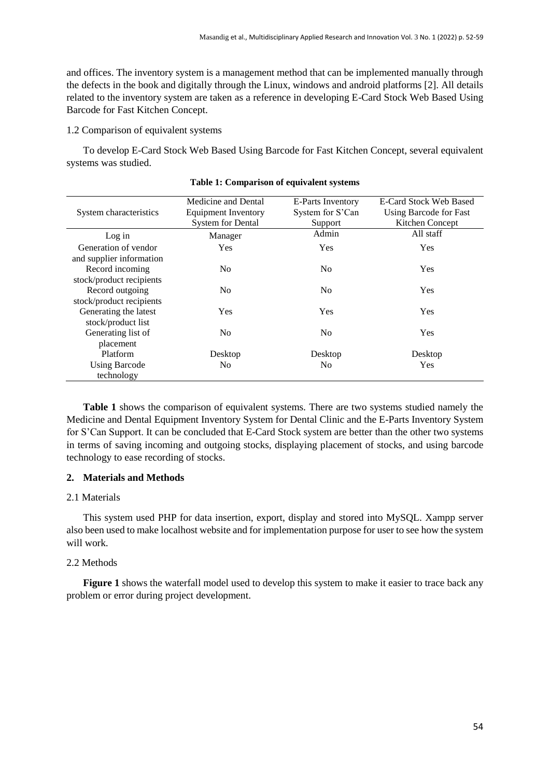and offices. The inventory system is a management method that can be implemented manually through the defects in the book and digitally through the Linux, windows and android platforms [2]. All details related to the inventory system are taken as a reference in developing E-Card Stock Web Based Using Barcode for Fast Kitchen Concept.

1.2 Comparison of equivalent systems

To develop E-Card Stock Web Based Using Barcode for Fast Kitchen Concept, several equivalent systems was studied.

| System characteristics   | Medicine and Dental<br>Equipment Inventory<br><b>System for Dental</b> | E-Parts Inventory<br>System for S'Can<br>Support | E-Card Stock Web Based<br>Using Barcode for Fast<br>Kitchen Concept |
|--------------------------|------------------------------------------------------------------------|--------------------------------------------------|---------------------------------------------------------------------|
|                          |                                                                        | Admin                                            | All staff                                                           |
| Log in                   | Manager                                                                |                                                  |                                                                     |
| Generation of vendor     | <b>Yes</b>                                                             | Yes                                              | <b>Yes</b>                                                          |
| and supplier information |                                                                        |                                                  |                                                                     |
| Record incoming          | N <sub>0</sub>                                                         | N <sub>0</sub>                                   | Yes                                                                 |
| stock/product recipients |                                                                        |                                                  |                                                                     |
| Record outgoing          | N <sub>0</sub>                                                         | N <sub>0</sub>                                   | Yes                                                                 |
| stock/product recipients |                                                                        |                                                  |                                                                     |
| Generating the latest    | <b>Yes</b>                                                             | <b>Yes</b>                                       | <b>Yes</b>                                                          |
| stock/product list       |                                                                        |                                                  |                                                                     |
| Generating list of       | N <sub>0</sub>                                                         | N <sub>0</sub>                                   | Yes                                                                 |
| placement                |                                                                        |                                                  |                                                                     |
| <b>Platform</b>          | Desktop                                                                | Desktop                                          | Desktop                                                             |
| <b>Using Barcode</b>     | N <sub>0</sub>                                                         | N <sub>0</sub>                                   | Yes                                                                 |
| technology               |                                                                        |                                                  |                                                                     |

#### **Table 1: Comparison of equivalent systems**

**Table 1** shows the comparison of equivalent systems. There are two systems studied namely the Medicine and Dental Equipment Inventory System for Dental Clinic and the E-Parts Inventory System for S'Can Support. It can be concluded that E-Card Stock system are better than the other two systems in terms of saving incoming and outgoing stocks, displaying placement of stocks, and using barcode technology to ease recording of stocks.

# **2. Materials and Methods**

# 2.1 Materials

This system used PHP for data insertion, export, display and stored into MySQL. Xampp server also been used to make localhost website and for implementation purpose for user to see how the system will work.

# 2.2 Methods

**Figure 1** shows the waterfall model used to develop this system to make it easier to trace back any problem or error during project development.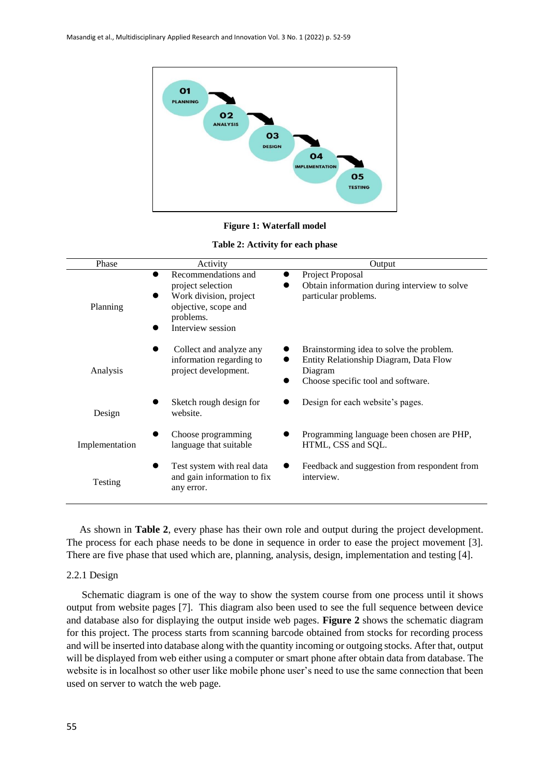

**Figure 1: Waterfall model** 

**Table 2: Activity for each phase**

| Phase          | Activity                                                                                                                     | Output                                                                                                                              |
|----------------|------------------------------------------------------------------------------------------------------------------------------|-------------------------------------------------------------------------------------------------------------------------------------|
| Planning       | Recommendations and<br>project selection<br>Work division, project<br>objective, scope and<br>problems.<br>Interview session | Project Proposal<br>Obtain information during interview to solve<br>particular problems.                                            |
| Analysis       | Collect and analyze any<br>information regarding to<br>project development.                                                  | Brainstorming idea to solve the problem.<br>Entity Relationship Diagram, Data Flow<br>Diagram<br>Choose specific tool and software. |
| Design         | Sketch rough design for<br>website.                                                                                          | Design for each website's pages.                                                                                                    |
| Implementation | Choose programming<br>language that suitable                                                                                 | Programming language been chosen are PHP,<br>HTML, CSS and SQL.                                                                     |
| Testing        | Test system with real data<br>and gain information to fix<br>any error.                                                      | Feedback and suggestion from respondent from<br>interview.                                                                          |

As shown in **Table 2**, every phase has their own role and output during the project development. The process for each phase needs to be done in sequence in order to ease the project movement [3]. There are five phase that used which are, planning, analysis, design, implementation and testing [4].

#### 2.2.1 Design

 Schematic diagram is one of the way to show the system course from one process until it shows output from website pages [7]. This diagram also been used to see the full sequence between device and database also for displaying the output inside web pages. **Figure 2** shows the schematic diagram for this project. The process starts from scanning barcode obtained from stocks for recording process and will be inserted into database along with the quantity incoming or outgoing stocks. After that, output will be displayed from web either using a computer or smart phone after obtain data from database. The website is in localhost so other user like mobile phone user's need to use the same connection that been used on server to watch the web page.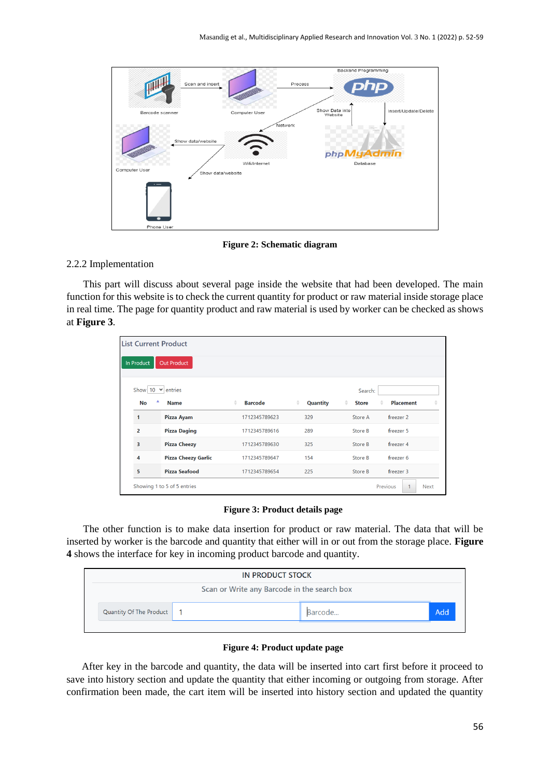

**Figure 2: Schematic diagram**

# 2.2.2 Implementation

This part will discuss about several page inside the website that had been developed. The main function for this website is to check the current quantity for product or raw material inside storage place in real time. The page for quantity product and raw material is used by worker can be checked as shows at **Figure 3**.

|                          | <b>List Current Product</b> |                                 |               |                   |                         |  |
|--------------------------|-----------------------------|---------------------------------|---------------|-------------------|-------------------------|--|
| <b>In Product</b>        | Out Product                 |                                 |               |                   |                         |  |
|                          |                             |                                 |               |                   |                         |  |
| Show $10 \times$ entries |                             |                                 |               | Search:           |                         |  |
| ᅀ<br>No                  | <b>Name</b>                 | <b>Barcode</b><br>$\Rightarrow$ | ÷<br>Quantity | ÷<br><b>Store</b> | <b>Placement</b><br>ê   |  |
| $\mathbf{1}$             | Pizza Ayam                  | 1712345789623                   | 329           | Store A           | freezer 2               |  |
| $\overline{2}$           | <b>Pizza Daging</b>         | 1712345789616                   | 289           | Store B           | freezer 5               |  |
| 3                        | <b>Pizza Cheezy</b>         | 1712345789630                   | 325           | Store B           | freezer 4               |  |
| 4                        | <b>Pizza Cheezy Garlic</b>  | 1712345789647                   | 154           | Store B           | freezer 6               |  |
| 5                        | <b>Pizza Seafood</b>        | 1712345789654                   | 225           | Store B           | freezer 3               |  |
|                          | Showing 1 to 5 of 5 entries |                                 |               |                   | Previous<br><b>Next</b> |  |

**Figure 3: Product details page**

The other function is to make data insertion for product or raw material. The data that will be inserted by worker is the barcode and quantity that either will in or out from the storage place. **Figure 4** shows the interface for key in incoming product barcode and quantity.

| <b>IN PRODUCT STOCK</b> |                                             |         |      |  |  |
|-------------------------|---------------------------------------------|---------|------|--|--|
|                         | Scan or Write any Barcode in the search box |         |      |  |  |
| Quantity Of The Product |                                             | Barcode | Add, |  |  |
|                         |                                             |         |      |  |  |

#### **Figure 4: Product update page**

After key in the barcode and quantity, the data will be inserted into cart first before it proceed to save into history section and update the quantity that either incoming or outgoing from storage. After confirmation been made, the cart item will be inserted into history section and updated the quantity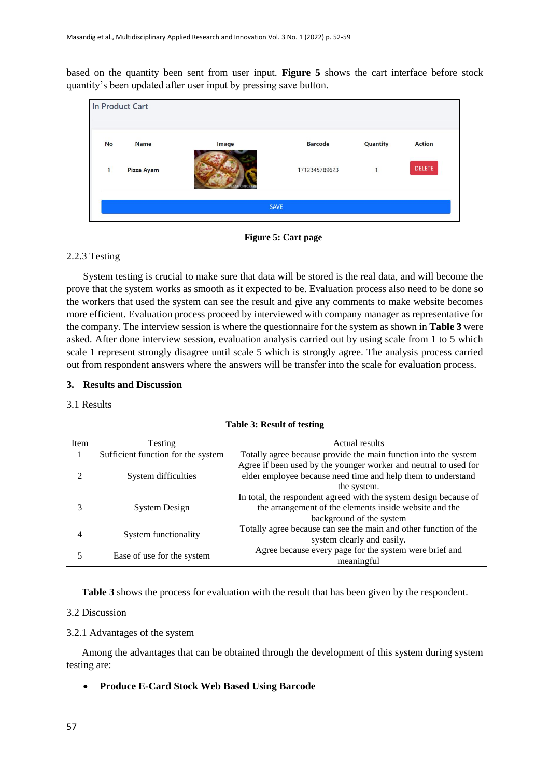based on the quantity been sent from user input. **Figure 5** shows the cart interface before stock quantity's been updated after user input by pressing save button.

|           | In Product Cart |       |                |                 |               |
|-----------|-----------------|-------|----------------|-----------------|---------------|
| <b>No</b> | <b>Name</b>     | Image | <b>Barcode</b> | <b>Quantity</b> | <b>Action</b> |
| 1         | Pizza Ayam      |       | 1712345789623  | $\mathbf{1}$    | <b>DELETE</b> |
|           |                 |       | <b>SAVE</b>    |                 |               |



# 2.2.3 Testing

System testing is crucial to make sure that data will be stored is the real data, and will become the prove that the system works as smooth as it expected to be. Evaluation process also need to be done so the workers that used the system can see the result and give any comments to make website becomes more efficient. Evaluation process proceed by interviewed with company manager as representative for the company. The interview session is where the questionnaire for the system as shown in **Table 3** were asked. After done interview session, evaluation analysis carried out by using scale from 1 to 5 which scale 1 represent strongly disagree until scale 5 which is strongly agree. The analysis process carried out from respondent answers where the answers will be transfer into the scale for evaluation process.

# **3. Results and Discussion**

# 3.1 Results

| Item | Actual results<br><b>Testing</b>   |                                                                   |  |  |
|------|------------------------------------|-------------------------------------------------------------------|--|--|
|      | Sufficient function for the system | Totally agree because provide the main function into the system   |  |  |
|      |                                    | Agree if been used by the younger worker and neutral to used for  |  |  |
|      | System difficulties                | elder employee because need time and help them to understand      |  |  |
|      |                                    | the system.                                                       |  |  |
|      |                                    | In total, the respondent agreed with the system design because of |  |  |
|      | System Design                      | the arrangement of the elements inside website and the            |  |  |
|      |                                    | background of the system                                          |  |  |
|      | System functionality               | Totally agree because can see the main and other function of the  |  |  |
|      |                                    | system clearly and easily.                                        |  |  |
|      |                                    | Agree because every page for the system were brief and            |  |  |
|      | Ease of use for the system         | meaningful                                                        |  |  |

|  |  |  |  | Table 3: Result of testing |
|--|--|--|--|----------------------------|
|--|--|--|--|----------------------------|

**Table 3** shows the process for evaluation with the result that has been given by the respondent.

# 3.2 Discussion

#### 3.2.1 Advantages of the system

Among the advantages that can be obtained through the development of this system during system testing are:

**Produce E-Card Stock Web Based Using Barcode**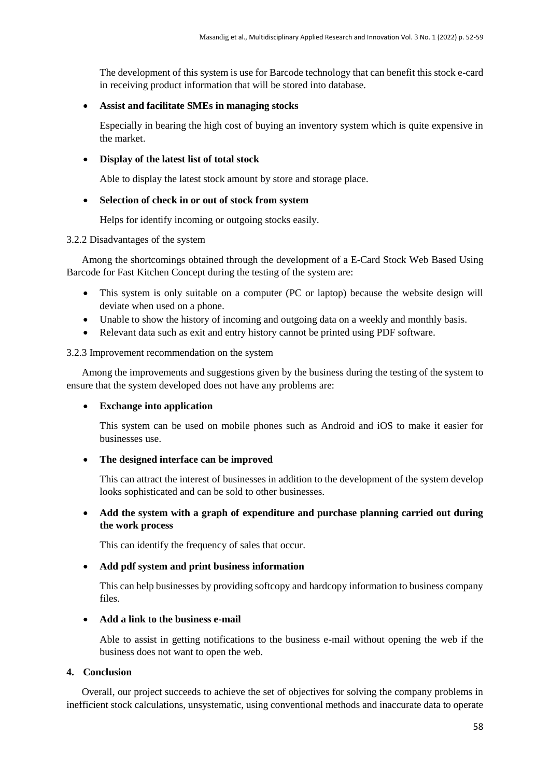The development of this system is use for Barcode technology that can benefit this stock e-card in receiving product information that will be stored into database.

# **Assist and facilitate SMEs in managing stocks**

Especially in bearing the high cost of buying an inventory system which is quite expensive in the market.

# **Display of the latest list of total stock**

Able to display the latest stock amount by store and storage place.

# **Selection of check in or out of stock from system**

Helps for identify incoming or outgoing stocks easily.

#### 3.2.2 Disadvantages of the system

Among the shortcomings obtained through the development of a E-Card Stock Web Based Using Barcode for Fast Kitchen Concept during the testing of the system are:

- This system is only suitable on a computer (PC or laptop) because the website design will deviate when used on a phone.
- Unable to show the history of incoming and outgoing data on a weekly and monthly basis.
- Relevant data such as exit and entry history cannot be printed using PDF software.

#### 3.2.3 Improvement recommendation on the system

Among the improvements and suggestions given by the business during the testing of the system to ensure that the system developed does not have any problems are:

#### **Exchange into application**

This system can be used on mobile phones such as Android and iOS to make it easier for businesses use.

# **The designed interface can be improved**

This can attract the interest of businesses in addition to the development of the system develop looks sophisticated and can be sold to other businesses.

# **Add the system with a graph of expenditure and purchase planning carried out during the work process**

This can identify the frequency of sales that occur.

# **Add pdf system and print business information**

This can help businesses by providing softcopy and hardcopy information to business company files.

# **Add a link to the business e-mail**

Able to assist in getting notifications to the business e-mail without opening the web if the business does not want to open the web.

# **4. Conclusion**

Overall, our project succeeds to achieve the set of objectives for solving the company problems in inefficient stock calculations, unsystematic, using conventional methods and inaccurate data to operate